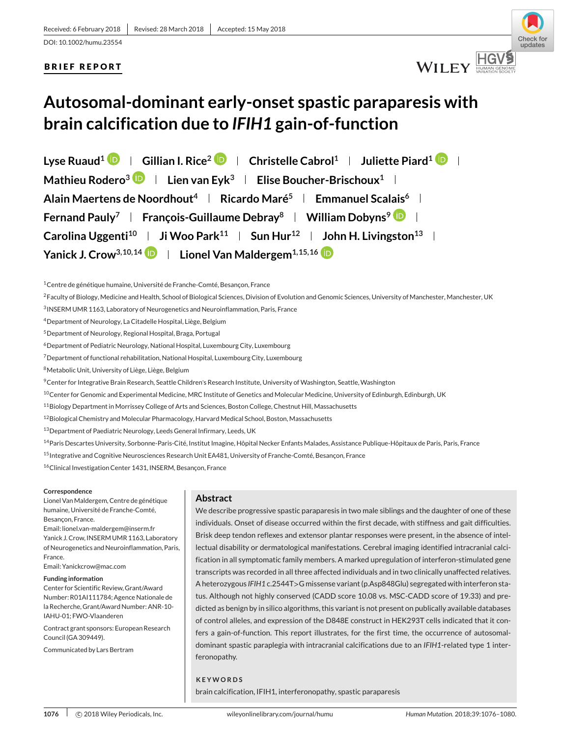## **BRIEF REPORT**



# **Autosomal-dominant early-onset spastic paraparesis with brain calcification due to** *IFIH1* **gain-of-function**

**Lyse Ruaud<sup>1</sup>**  $\mathbf{D}$  **| Gillian I. Rice<sup>2</sup>**  $\mathbf{D}$  **| Christelle Cabrol<sup>1</sup> | Juliette Piard<sup>1</sup>**  $\mathbf{D}$  **|** Mathieu Rodero<sup>3</sup> **Lien van Eyk**<sup>3</sup> **Lien Eulise Boucher-Brischoux**<sup>1</sup> L **Alain Maertens de Noordhout4 Ricardo Maré5 Emmanuel Scalais6 Fernand Pauly<sup>7</sup> | François-Guillaume Debray<sup>8</sup> | William Dobyns<sup>9</sup> | | Carolina Uggenti<sup>10</sup> | Ji Woo Park<sup>11</sup> | Sun Hur<sup>12</sup> | John H. Livingston<sup>13</sup> | Yanick J. Crow<sup>3,10,14</sup> <b>Lionel Van Maldergem**<sup>1,15,16</sup> **i**D

1Centre de génétique humaine, Université de Franche-Comté, Besançon, France

<sup>2</sup>Faculty of Biology, Medicine and Health, School of Biological Sciences, Division of Evolution and Genomic Sciences, University of Manchester, Manchester, UK

3INSERM UMR 1163, Laboratory of Neurogenetics and Neuroinflammation, Paris, France

4Department of Neurology, La Citadelle Hospital, Liège, Belgium

5Department of Neurology, Regional Hospital, Braga, Portugal

6Department of Pediatric Neurology, National Hospital, Luxembourg City, Luxembourg

7Department of functional rehabilitation, National Hospital, Luxembourg City, Luxembourg

8Metabolic Unit, University of Liège, Liège, Belgium

9Center for Integrative Brain Research, Seattle Children's Research Institute, University of Washington, Seattle, Washington

<sup>10</sup>Center for Genomic and Experimental Medicine, MRC Institute of Genetics and Molecular Medicine, University of Edinburgh, Edinburgh, UK

11Biology Department in Morrissey College of Arts and Sciences, Boston College, Chestnut Hill, Massachusetts

12Biological Chemistry and Molecular Pharmacology, Harvard Medical School, Boston, Massachusetts

13Department of Paediatric Neurology, Leeds General Infirmary, Leeds, UK

<sup>14</sup> Paris Descartes University, Sorbonne-Paris-Cité, Institut Imagine, Hôpital Necker Enfants Malades, Assistance Publique-Hôpitaux de Paris, Paris, France

<sup>15</sup> Integrative and Cognitive Neurosciences Research Unit EA481, University of Franche-Comté, Besançon, France

<sup>16</sup>Clinical Investigation Center 1431, INSERM, Besançon, France

#### **Correspondence**

Lionel VanMaldergem, Centre de génétique humaine, Université de Franche-Comté, Besançon, France.

Email: lionel.van-maldergem@inserm.fr Yanick J. Crow, INSERM UMR 1163, Laboratory of Neurogenetics and Neuroinflammation, Paris, France.

Email: Yanickcrow@mac.com

#### **Funding information**

Center for Scientific Review, Grant/Award Number: R01AI111784; Agence Nationale de la Recherche, Grant/Award Number: ANR-10- IAHU-01; FWO-Vlaanderen

Contract grant sponsors: European Research Council (GA 309449).

Communicated by Lars Bertram

## **Abstract**

We describe progressive spastic paraparesis in two male siblings and the daughter of one of these individuals. Onset of disease occurred within the first decade, with stiffness and gait difficulties. Brisk deep tendon reflexes and extensor plantar responses were present, in the absence of intellectual disability or dermatological manifestations. Cerebral imaging identified intracranial calcification in all symptomatic family members. A marked upregulation of interferon-stimulated gene transcripts was recorded in all three affected individuals and in two clinically unaffected relatives. A heterozygous *IFIH1* c.2544T*>*G missense variant (p.Asp848Glu) segregated with interferon status. Although not highly conserved (CADD score 10.08 vs. MSC-CADD score of 19.33) and predicted as benign by in silico algorithms, this variant is not present on publically available databases of control alleles, and expression of the D848E construct in HEK293T cells indicated that it confers a gain-of-function. This report illustrates, for the first time, the occurrence of autosomaldominant spastic paraplegia with intracranial calcifications due to an *IFIH1*-related type 1 interferonopathy.

#### **KEYWORDS**

brain calcification, IFIH1, interferonopathy, spastic paraparesis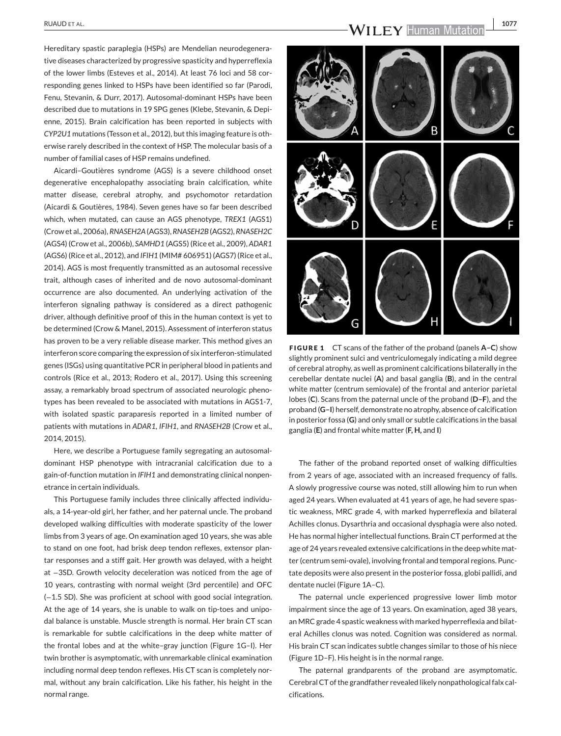Hereditary spastic paraplegia (HSPs) are Mendelian neurodegenerative diseases characterized by progressive spasticity and hyperreflexia of the lower limbs (Esteves et al., 2014). At least 76 loci and 58 corresponding genes linked to HSPs have been identified so far (Parodi, Fenu, Stevanin, & Durr, 2017). Autosomal-dominant HSPs have been described due to mutations in 19 SPG genes (Klebe, Stevanin, & Depienne, 2015). Brain calcification has been reported in subjects with *CYP2U1* mutations (Tesson et al., 2012), but this imaging feature is otherwise rarely described in the context of HSP. The molecular basis of a number of familial cases of HSP remains undefined.

Aicardi–Goutières syndrome (AGS) is a severe childhood onset degenerative encephalopathy associating brain calcification, white matter disease, cerebral atrophy, and psychomotor retardation (Aicardi & Goutières, 1984). Seven genes have so far been described which, when mutated, can cause an AGS phenotype, *TREX1* (AGS1) (Crow et al., 2006a), *RNASEH2A*(AGS3), *RNASEH2B*(AGS2), *RNASEH2C* (AGS4) (Crow et al., 2006b), *SAMHD1* (AGS5) (Rice et al., 2009), *ADAR1* (AGS6) (Rice et al., 2012), and *IFIH1* (MIM# 606951) (AGS7) (Rice et al., 2014). AGS is most frequently transmitted as an autosomal recessive trait, although cases of inherited and de novo autosomal-dominant occurrence are also documented. An underlying activation of the interferon signaling pathway is considered as a direct pathogenic driver, although definitive proof of this in the human context is yet to be determined (Crow & Manel, 2015). Assessment of interferon status has proven to be a very reliable disease marker. This method gives an interferon score comparing the expression of six interferon-stimulated genes (ISGs) using quantitative PCR in peripheral blood in patients and controls (Rice et al., 2013; Rodero et al., 2017). Using this screening assay, a remarkably broad spectrum of associated neurologic phenotypes has been revealed to be associated with mutations in AGS1-7, with isolated spastic paraparesis reported in a limited number of patients with mutations in *ADAR1*, *IFIH1*, and *RNASEH2B* (Crow et al., 2014, 2015).

Here, we describe a Portuguese family segregating an autosomaldominant HSP phenotype with intracranial calcification due to a gain-of-function mutation in *IFIH1* and demonstrating clinical nonpenetrance in certain individuals.

This Portuguese family includes three clinically affected individuals, a 14-year-old girl, her father, and her paternal uncle. The proband developed walking difficulties with moderate spasticity of the lower limbs from 3 years of age. On examination aged 10 years, she was able to stand on one foot, had brisk deep tendon reflexes, extensor plantar responses and a stiff gait. Her growth was delayed, with a height at −3SD. Growth velocity deceleration was noticed from the age of 10 years, contrasting with normal weight (3rd percentile) and OFC (−1.5 SD). She was proficient at school with good social integration. At the age of 14 years, she is unable to walk on tip-toes and unipodal balance is unstable. Muscle strength is normal. Her brain CT scan is remarkable for subtle calcifications in the deep white matter of the frontal lobes and at the white–gray junction (Figure 1G–I). Her twin brother is asymptomatic, with unremarkable clinical examination including normal deep tendon reflexes. His CT scan is completely normal, without any brain calcification. Like his father, his height in the normal range.

RUAUD ET AL. **1077**<br>**1077**<br> **WILEY** Human Mutation 1077



**FIGURE 1** CT scans of the father of the proband (panels **A–C**) show slightly prominent sulci and ventriculomegaly indicating a mild degree of cerebral atrophy, as well as prominent calcifications bilaterally in the cerebellar dentate nuclei (**A**) and basal ganglia (**B**), and in the central white matter (centrum semiovale) of the frontal and anterior parietal lobes (**C**). Scans from the paternal uncle of the proband (**D–F**), and the proband (**G–I**) herself, demonstrate no atrophy, absence of calcification in posterior fossa (**G**) and only small or subtle calcifications in the basal ganglia (**E**) and frontal white matter (**F, H,** and **I**)

The father of the proband reported onset of walking difficulties from 2 years of age, associated with an increased frequency of falls. A slowly progressive course was noted, still allowing him to run when aged 24 years. When evaluated at 41 years of age, he had severe spastic weakness, MRC grade 4, with marked hyperreflexia and bilateral Achilles clonus. Dysarthria and occasional dysphagia were also noted. He has normal higher intellectual functions. Brain CT performed at the age of 24 years revealed extensive calcifications in the deep white matter (centrum semi-ovale), involving frontal and temporal regions. Punctate deposits were also present in the posterior fossa, globi pallidi, and dentate nuclei (Figure 1A–C).

The paternal uncle experienced progressive lower limb motor impairment since the age of 13 years. On examination, aged 38 years, an MRC grade 4 spastic weakness with marked hyperreflexia and bilateral Achilles clonus was noted. Cognition was considered as normal. His brain CT scan indicates subtle changes similar to those of his niece (Figure 1D–F). His height is in the normal range.

The paternal grandparents of the proband are asymptomatic. Cerebral CT of the grandfather revealed likely nonpathological falx calcifications.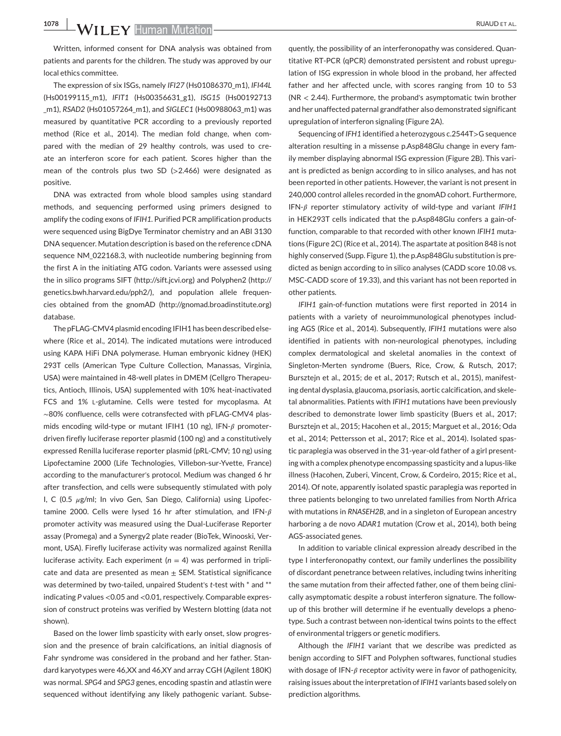**1078 WILEY Human Mutation** 

Written, informed consent for DNA analysis was obtained from patients and parents for the children. The study was approved by our local ethics committee.

The expression of six ISGs, namely *IFI27* (Hs01086370\_m1), *IFI44L* (Hs00199115\_m1), *IFIT1* (Hs00356631\_g1), *ISG15* (Hs00192713 \_m1), *RSAD2* (Hs01057264\_m1), and *SIGLEC1* (Hs00988063\_m1) was measured by quantitative PCR according to a previously reported method (Rice et al., 2014). The median fold change, when compared with the median of 29 healthy controls, was used to create an interferon score for each patient. Scores higher than the mean of the controls plus two SD (*>*2.466) were designated as positive.

DNA was extracted from whole blood samples using standard methods, and sequencing performed using primers designed to amplify the coding exons of *IFIH1*. Purified PCR amplification products were sequenced using BigDye Terminator chemistry and an ABI 3130 DNA sequencer. Mutation description is based on the reference cDNA sequence NM\_022168.3, with nucleotide numbering beginning from the first A in the initiating ATG codon. Variants were assessed using the in silico programs SIFT [\(http://sift.jcvi.org\)](http://sift.jcvi.org) and Polyphen2 [\(http://](http://genetics.bwh.harvard.edu/pph2/) [genetics.bwh.harvard.edu/pph2/\)](http://genetics.bwh.harvard.edu/pph2/), and population allele frequencies obtained from the gnomAD [\(http://gnomad.broadinstitute.org\)](http://gnomad.broadinstitute.org) database.

The pFLAG-CMV4 plasmid encoding IFIH1 has been described elsewhere (Rice et al., 2014). The indicated mutations were introduced using KAPA HiFi DNA polymerase. Human embryonic kidney (HEK) 293T cells (American Type Culture Collection, Manassas, Virginia, USA) were maintained in 48-well plates in DMEM (Cellgro Therapeutics, Antioch, Illinois, USA) supplemented with 10% heat-inactivated FCS and 1% L-glutamine. Cells were tested for mycoplasma. At ∼80% confluence, cells were cotransfected with pFLAG-CMV4 plasmids encoding wild-type or mutant IFIH1 (10 ng), IFN- $\beta$  promoterdriven firefly luciferase reporter plasmid (100 ng) and a constitutively expressed Renilla luciferase reporter plasmid (pRL-CMV; 10 ng) using Lipofectamine 2000 (Life Technologies, Villebon-sur-Yvette, France) according to the manufacturer's protocol. Medium was changed 6 hr after transfection, and cells were subsequently stimulated with poly I, C (0.5  $\mu$ g/ml; In vivo Gen, San Diego, California) using Lipofectamine 2000. Cells were lysed 16 hr after stimulation, and IFN- $\beta$ promoter activity was measured using the Dual-Luciferase Reporter assay (Promega) and a Synergy2 plate reader (BioTek, Winooski, Vermont, USA). Firefly luciferase activity was normalized against Renilla luciferase activity. Each experiment  $(n = 4)$  was performed in triplicate and data are presented as mean  $\pm$  SEM. Statistical significance was determined by two-tailed, unpaired Student's *t-*test with \* and \*\* indicating *P* values *<*0.05 and *<*0.01, respectively. Comparable expression of construct proteins was verified by Western blotting (data not shown).

Based on the lower limb spasticity with early onset, slow progression and the presence of brain calcifications, an initial diagnosis of Fahr syndrome was considered in the proband and her father. Standard karyotypes were 46,XX and 46,XY and array CGH (Agilent 180K) was normal. *SPG4* and *SPG3* genes, encoding spastin and atlastin were sequenced without identifying any likely pathogenic variant. Subsequently, the possibility of an interferonopathy was considered. Quantitative RT-PCR (qPCR) demonstrated persistent and robust upregulation of ISG expression in whole blood in the proband, her affected father and her affected uncle, with scores ranging from 10 to 53 (NR *<* 2.44). Furthermore, the proband's asymptomatic twin brother and her unaffected paternal grandfather also demonstrated significant upregulation of interferon signaling (Figure 2A).

Sequencing of *IFH1* identified a heterozygous c.2544T*>*G sequence alteration resulting in a missense p.Asp848Glu change in every family member displaying abnormal ISG expression (Figure 2B). This variant is predicted as benign according to in silico analyses, and has not been reported in other patients. However, the variant is not present in 240,000 control alleles recorded in the gnomAD cohort. Furthermore, IFN- $\beta$  reporter stimulatory activity of wild-type and variant *IFIH1* in HEK293T cells indicated that the p.Asp848Glu confers a gain-offunction, comparable to that recorded with other known *IFIH1* mutations (Figure 2C) (Rice et al., 2014). The aspartate at position 848 is not highly conserved (Supp. Figure 1), the p.Asp848Glu substitution is predicted as benign according to in silico analyses (CADD score 10.08 vs. MSC-CADD score of 19.33), and this variant has not been reported in other patients.

*IFIH1* gain-of-function mutations were first reported in 2014 in patients with a variety of neuroimmunological phenotypes including AGS (Rice et al., 2014). Subsequently, *IFIH1* mutations were also identified in patients with non-neurological phenotypes, including complex dermatological and skeletal anomalies in the context of Singleton-Merten syndrome (Buers, Rice, Crow, & Rutsch, 2017; Bursztejn et al., 2015; de et al., 2017; Rutsch et al., 2015), manifesting dental dysplasia, glaucoma, psoriasis, aortic calcification, and skeletal abnormalities. Patients with *IFIH1* mutations have been previously described to demonstrate lower limb spasticity (Buers et al., 2017; Bursztejn et al., 2015; Hacohen et al., 2015; Marguet et al., 2016; Oda et al., 2014; Pettersson et al., 2017; Rice et al., 2014). Isolated spastic paraplegia was observed in the 31-year-old father of a girl presenting with a complex phenotype encompassing spasticity and a lupus-like illness (Hacohen, Zuberi, Vincent, Crow, & Cordeiro, 2015; Rice et al., 2014). Of note, apparently isolated spastic paraplegia was reported in three patients belonging to two unrelated families from North Africa with mutations in *RNASEH2B*, and in a singleton of European ancestry harboring a de novo *ADAR1* mutation (Crow et al., 2014), both being AGS-associated genes.

In addition to variable clinical expression already described in the type I interferonopathy context, our family underlines the possibility of discordant penetrance between relatives, including twins inheriting the same mutation from their affected father, one of them being clinically asymptomatic despite a robust interferon signature. The followup of this brother will determine if he eventually develops a phenotype. Such a contrast between non-identical twins points to the effect of environmental triggers or genetic modifiers.

Although the *IFIH1* variant that we describe was predicted as benign according to SIFT and Polyphen softwares, functional studies with dosage of IFN- $\beta$  receptor activity were in favor of pathogenicity, raising issues about the interpretation of*IFIH1* variants based solely on prediction algorithms.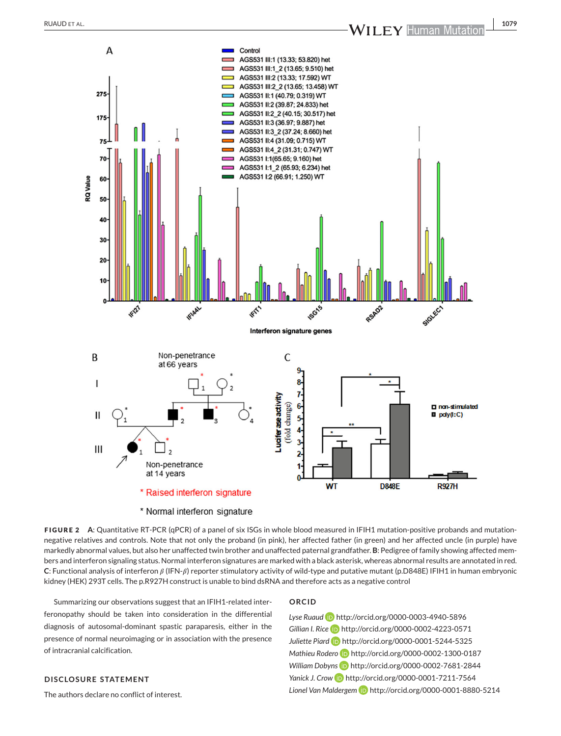

**FIGURE 2** A: Quantitative RT-PCR (qPCR) of a panel of six ISGs in whole blood measured in IFIH1 mutation-positive probands and mutationnegative relatives and controls. Note that not only the proband (in pink), her affected father (in green) and her affected uncle (in purple) have markedly abnormal values, but also her unaffected twin brother and unaffected paternal grandfather. **B**: Pedigree of family showing affected members and interferon signaling status. Normal interferon signatures are marked with a black asterisk, whereas abnormal results are annotated in red. C: Functional analysis of interferon  $\beta$  (IFN- $\beta$ ) reporter stimulatory activity of wild-type and putative mutant (p.D848E) IFIH1 in human embryonic kidney (HEK) 293T cells. The p.R927H construct is unable to bind dsRNA and therefore acts as a negative control

Summarizing our observations suggest that an IFIH1-related interferonopathy should be taken into consideration in the differential diagnosis of autosomal-dominant spastic paraparesis, either in the presence of normal neuroimaging or in association with the presence of intracranial calcification.

#### **ORCID**

*Lyse Ruaud* <http://orcid.org/0000-0003-4940-5896> Gillian I. Rice **b** <http://orcid.org/0000-0002-4223-0571> *Juliette Piard* <http://orcid.org/0000-0001-5244-5325> *Mathieu Rodero* **iD** <http://orcid.org/0000-0002-1300-0187> William Dobyns **iD** <http://orcid.org/0000-0002-7681-2844> Yanick J. Crow **iD** <http://orcid.org/0000-0001-7211-7564> *Lionel Van Maldergem* <http://orcid.org/0000-0001-8880-5214>

## **DISCLOSURE STATEMENT**

The authors declare no conflict of interest.